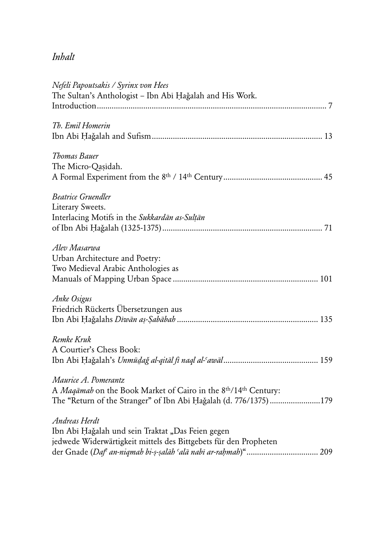## *Inhalt*

| Nefeli Papoutsakis / Syrinx von Hees<br>The Sultan's Anthologist - Ibn Abi Hağalah and His Work.                                                           |
|------------------------------------------------------------------------------------------------------------------------------------------------------------|
| Th. Emil Homerin                                                                                                                                           |
| Thomas Bauer<br>The Micro-Qasidah.                                                                                                                         |
| <b>Beatrice Gruendler</b><br>Literary Sweets.<br>Interlacing Motifs in the Sukkardān as-Sulțān                                                             |
| Alev Masarwa<br>Urban Architecture and Poetry:<br>Two Medieval Arabic Anthologies as                                                                       |
| <b>Anke Osigus</b><br>Friedrich Rückerts Übersetzungen aus                                                                                                 |
| Remke Kruk<br>A Courtier's Chess Book:                                                                                                                     |
| Maurice A. Pomerantz<br>A Maqāmah on the Book Market of Cairo in the 8th/14th Century:<br>The "Return of the Stranger" of Ibn Abi Hağalah (d. 776/1375)179 |
| Andreas Herdt<br>Ibn Abī Hağalah und sein Traktat "Das Feien gegen<br>jedwede Widerwärtigkeit mittels des Bittgebets für den Propheten                     |